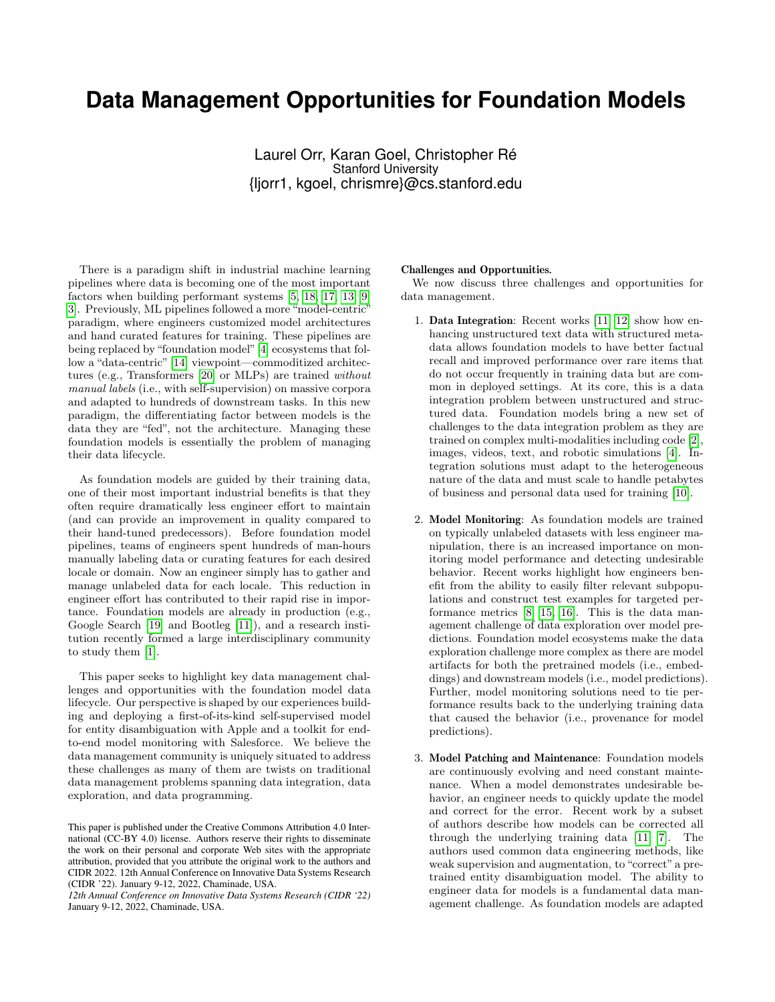## **Data Management Opportunities for Foundation Models**

Laurel Orr, Karan Goel, Christopher Ré Stanford University {ljorr1, kgoel, chrismre}@cs.stanford.edu

There is a paradigm shift in industrial machine learning pipelines where data is becoming one of the most important factors when building performant systems [\[5,](#page-1-0) [18,](#page-1-1) [17,](#page-1-2) [13,](#page-1-3) [9,](#page-1-4) [3\]](#page-1-5). Previously, ML pipelines followed a more "model-centric" paradigm, where engineers customized model architectures and hand curated features for training. These pipelines are being replaced by "foundation model"[\[4\]](#page-1-6) ecosystems that follow a "data-centric" [\[14\]](#page-1-7) viewpoint—commoditized architectures (e.g., Transformers [\[20\]](#page-1-8) or MLPs) are trained without manual labels (i.e., with self-supervision) on massive corpora and adapted to hundreds of downstream tasks. In this new paradigm, the differentiating factor between models is the data they are "fed", not the architecture. Managing these foundation models is essentially the problem of managing their data lifecycle.

As foundation models are guided by their training data, one of their most important industrial benefits is that they often require dramatically less engineer effort to maintain (and can provide an improvement in quality compared to their hand-tuned predecessors). Before foundation model pipelines, teams of engineers spent hundreds of man-hours manually labeling data or curating features for each desired locale or domain. Now an engineer simply has to gather and manage unlabeled data for each locale. This reduction in engineer effort has contributed to their rapid rise in importance. Foundation models are already in production (e.g., Google Search [\[19\]](#page-1-9) and Bootleg [\[11\]](#page-1-10)), and a research institution recently formed a large interdisciplinary community to study them [\[1\]](#page-1-11).

This paper seeks to highlight key data management challenges and opportunities with the foundation model data lifecycle. Our perspective is shaped by our experiences building and deploying a first-of-its-kind self-supervised model for entity disambiguation with Apple and a toolkit for endto-end model monitoring with Salesforce. We believe the data management community is uniquely situated to address these challenges as many of them are twists on traditional data management problems spanning data integration, data exploration, and data programming.

## Challenges and Opportunities*.*

We now discuss three challenges and opportunities for data management.

- 1. Data Integration: Recent works [\[11,](#page-1-10) [12\]](#page-1-12) show how enhancing unstructured text data with structured metadata allows foundation models to have better factual recall and improved performance over rare items that do not occur frequently in training data but are common in deployed settings. At its core, this is a data integration problem between unstructured and structured data. Foundation models bring a new set of challenges to the data integration problem as they are trained on complex multi-modalities including code [\[2\]](#page-1-13), images, videos, text, and robotic simulations [\[4\]](#page-1-6). Integration solutions must adapt to the heterogeneous nature of the data and must scale to handle petabytes of business and personal data used for training [\[10\]](#page-1-14).
- 2. Model Monitoring: As foundation models are trained on typically unlabeled datasets with less engineer manipulation, there is an increased importance on monitoring model performance and detecting undesirable behavior. Recent works highlight how engineers benefit from the ability to easily filter relevant subpopulations and construct test examples for targeted performance metrics [\[8,](#page-1-15) [15,](#page-1-16) [16\]](#page-1-17). This is the data management challenge of data exploration over model predictions. Foundation model ecosystems make the data exploration challenge more complex as there are model artifacts for both the pretrained models (i.e., embeddings) and downstream models (i.e., model predictions). Further, model monitoring solutions need to tie performance results back to the underlying training data that caused the behavior (i.e., provenance for model predictions).
- 3. Model Patching and Maintenance: Foundation models are continuously evolving and need constant maintenance. When a model demonstrates undesirable behavior, an engineer needs to quickly update the model and correct for the error. Recent work by a subset of authors describe how models can be corrected all through the underlying training data [\[11,](#page-1-10) [7\]](#page-1-18). The authors used common data engineering methods, like weak supervision and augmentation, to "correct" a pretrained entity disambiguation model. The ability to engineer data for models is a fundamental data management challenge. As foundation models are adapted

This paper is published under the Creative Commons Attribution 4.0 International (CC-BY 4.0) license. Authors reserve their rights to disseminate the work on their personal and corporate Web sites with the appropriate attribution, provided that you attribute the original work to the authors and CIDR 2022. 12th Annual Conference on Innovative Data Systems Research (CIDR '22). January 9-12, 2022, Chaminade, USA.

*<sup>12</sup>th Annual Conference on Innovative Data Systems Research (CIDR '22)* January 9-12, 2022, Chaminade, USA.